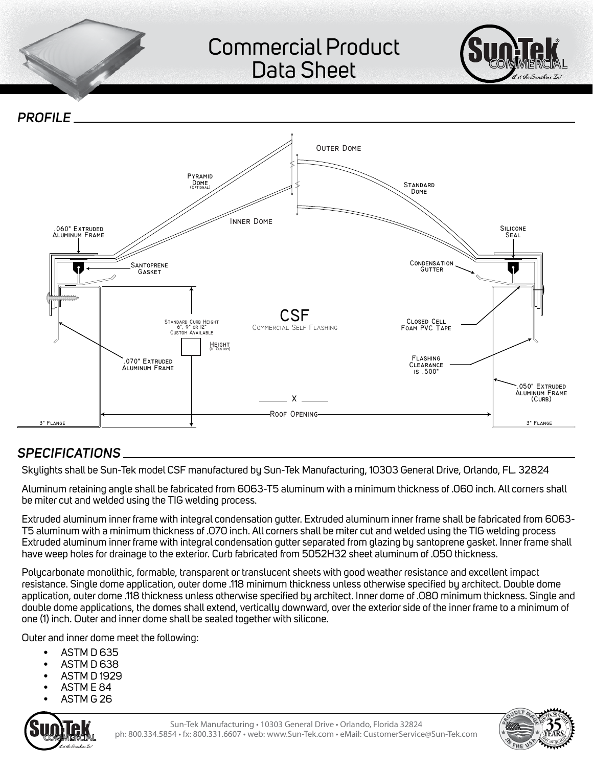## Commercial Product Data Sheet



**OUTER DOME INNER DOME** 060" Extruded **ALUMINUM FRAME** 070" EXTRUDED ALUMINUM FRAME **FLASHING** CLEARANCE  $15.500$ SANTOPRENE **GASKET** CONDENSATION GUTTER **CLOSED CELL** FOAM PVC TAPE **SILICONE SEAL** CSF COMMERCIAL SELF FLASHING PYRAMID DOME<br>(OPTIONAL  $\overline{\text{ODOME}}$  STANDARD DOME -ROOF OPENING STANDARD CURB HEIGHT<br>6", 9" OR 12" CUSTOM AVAILABLE HEIGHT<br>(If Custom)  $- X -$ 050" EXTRUDED **ALUMINUM FRAME**  $(CURE)$ *Profile* 

## *Specifications*

Skylights shall be Sun-Tek model CSF manufactured by Sun-Tek Manufacturing, 10303 General Drive, Orlando, FL. 32824

Aluminum retaining angle shall be fabricated from 6063-T5 aluminum with a minimum thickness of .060 inch. All corners shall be miter cut and welded using the TIG welding process.

Extruded aluminum inner frame with integral condensation gutter. Extruded aluminum inner frame shall be fabricated from 6063- T5 aluminum with a minimum thickness of .070 inch. All corners shall be miter cut and welded using the TIG welding process Extruded aluminum inner frame with integral condensation gutter separated from glazing by santoprene gasket. Inner frame shall have weep holes for drainage to the exterior. Curb fabricated from 5052H32 sheet aluminum of .050 thickness.

Polycarbonate monolithic, formable, transparent or translucent sheets with good weather resistance and excellent impact resistance. Single dome application, outer dome .118 minimum thickness unless otherwise specified by architect. Double dome application, outer dome .118 thickness unless otherwise specified by architect. Inner dome of .080 minimum thickness. Single and double dome applications, the domes shall extend, vertically downward, over the exterior side of the inner frame to a minimum of one (1) inch. Outer and inner dome shall be sealed together with silicone.

Outer and inner dome meet the following:

- ASTM D 635
- ASTM D 638
- ASTM D 1929
- ASTM E 84
- ASTM G 26